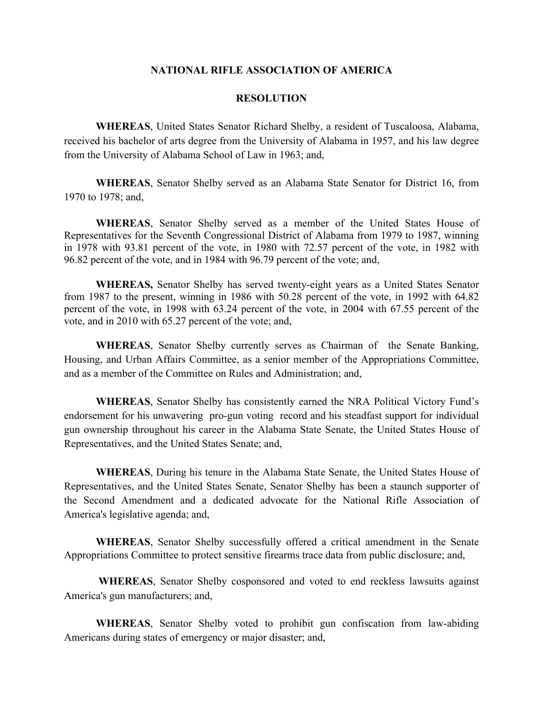## **NATIONAL RIFLE ASSOCIATION OF AMERICA**

## **RESOLUTION**

**WHEREAS**, United States Senator Richard Shelby, a resident of Tuscaloosa, Alabama, received his bachelor of arts degree from the University of Alabama in 1957, and his law degree from the University of Alabama School of Law in 1963; and,

**WHEREAS**, Senator Shelby served as an Alabama State Senator for District 16, from 1970 to 1978; and,

**WHEREAS**, Senator Shelby served as a member of the United States House of Representatives for the Seventh Congressional District of Alabama from 1979 to 1987, winning in 1978 with 93.81 percent of the vote, in 1980 with 72.57 percent of the vote, in 1982 with 96.82 percent of the vote, and in 1984 with 96.79 percent of the vote; and,

**WHEREAS,** Senator Shelby has served twenty-eight years as a United States Senator from 1987 to the present, winning in 1986 with 50.28 percent of the vote, in 1992 with 64.82 percent of the vote, in 1998 with 63.24 percent of the vote, in 2004 with 67.55 percent of the vote, and in 2010 with 65.27 percent of the vote; and,

**WHEREAS**, Senator Shelby currently serves as Chairman of the Senate Banking, Housing, and Urban Affairs Committee, as a senior member of the Appropriations Committee, and as a member of the Committee on Rules and Administration; and,

**WHEREAS**, Senator Shelby has consistently earned the NRA Political Victory Fund's endorsement for his unwavering pro-gun voting record and his steadfast support for individual gun ownership throughout his career in the Alabama State Senate, the United States House of Representatives, and the United States Senate; and,

**WHEREAS**, During his tenure in the Alabama State Senate, the United States House of Representatives, and the United States Senate, Senator Shelby has been a staunch supporter of the Second Amendment and a dedicated advocate for the National Rifle Association of America's legislative agenda; and,

 **WHEREAS**, Senator Shelby successfully offered a critical amendment in the Senate Appropriations Committee to protect sensitive firearms trace data from public disclosure; and,

 **WHEREAS**, Senator Shelby cosponsored and voted to end reckless lawsuits against America's gun manufacturers; and,

**WHEREAS**, Senator Shelby voted to prohibit gun confiscation from law-abiding Americans during states of emergency or major disaster; and,